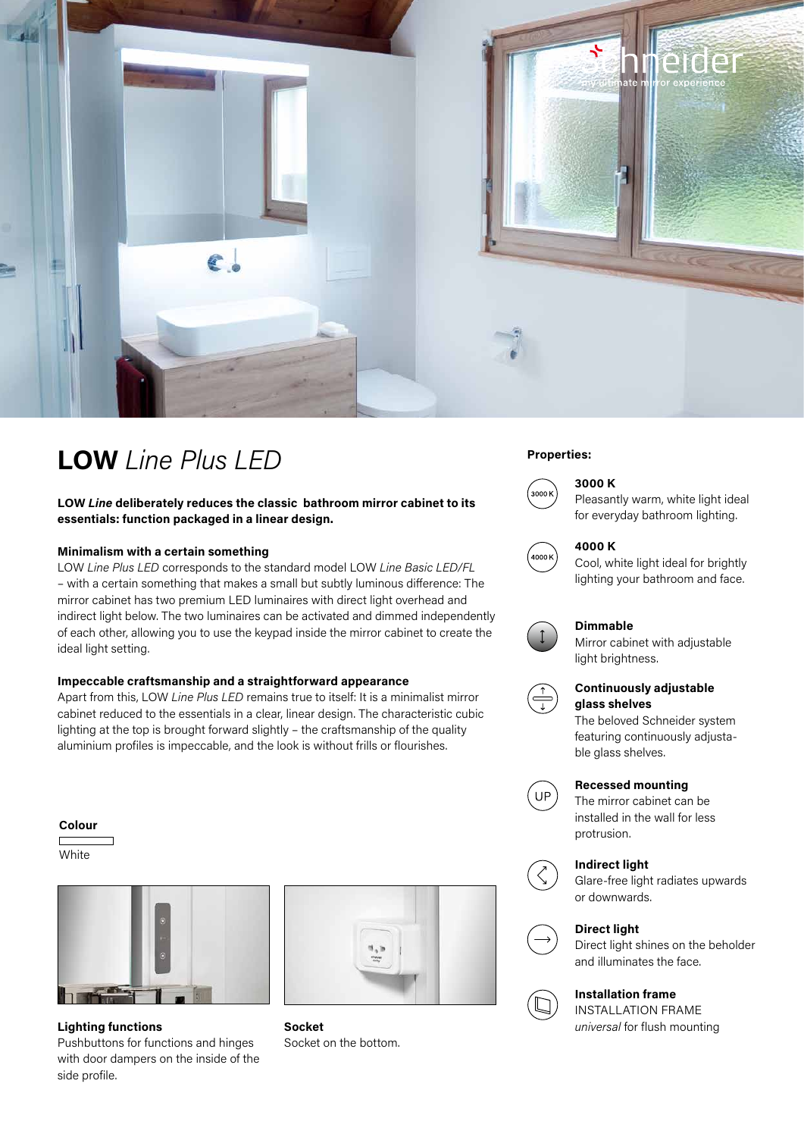

# **Properties: LOW** *Line Plus LED*

**LOW** *Line* **deliberately reduces the classic bathroom mirror cabinet to its essentials: function packaged in a linear design.**

#### **Minimalism with a certain something**

LOW *Line Plus LED* corresponds to the standard model LOW *Line Basic LED/FL* – with a certain something that makes a small but subtly luminous difference: The mirror cabinet has two premium LED luminaires with direct light overhead and indirect light below. The two luminaires can be activated and dimmed independently of each other, allowing you to use the keypad inside the mirror cabinet to create the ideal light setting.

### **Impeccable craftsmanship and a straightforward appearance**

Apart from this, LOW *Line Plus LED* remains true to itself: It is a minimalist mirror cabinet reduced to the essentials in a clear, linear design. The characteristic cubic lighting at the top is brought forward slightly – the craftsmanship of the quality aluminium profiles is impeccable, and the look is without frills or flourishes.

#### **Colour**

**White** 



**Lighting functions** *Socket universal for flush mounting* Pushbuttons for functions and hinges with door dampers on the inside of the side profile.



**Socket**  Socket on the bottom.



# **3000 K**

Pleasantly warm, white light ideal for everyday bathroom lighting.



#### **4000 K**

Cool, white light ideal for brightly lighting your bathroom and face.



## **Dimmable**

Mirror cabinet with adjustable light brightness.



# **Continuously adjustable glass shelves**

The beloved Schneider system featuring continuously adjustable glass shelves.



### **Recessed mounting**

The mirror cabinet can be installed in the wall for less protrusion.

## **Indirect light**



Glare-free light radiates upwards or downwards.



**Direct light**

Direct light shines on the beholder and illuminates the face.

# **Installation frame**

INSTALLATION FRAME